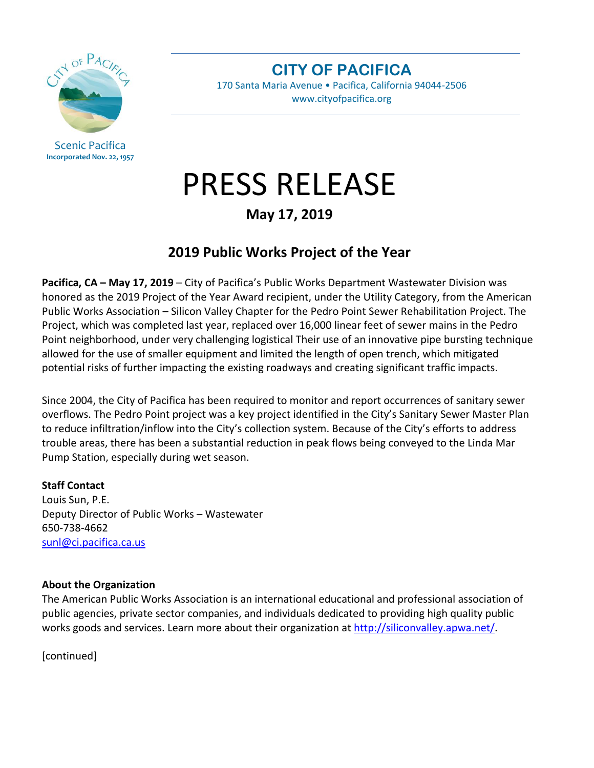

Scenic Pacifica **Incorporated Nov. 22, 1957** **CITY OF PACIFICA**

170 Santa Maria Avenue • Pacifica, California 94044-2506 www.cityofpacifica.org

# PRESS RELEASE

### **May 17, 2019**

## **2019 Public Works Project of the Year**

**Pacifica, CA – May 17, 2019** – City of Pacifica's Public Works Department Wastewater Division was honored as the 2019 Project of the Year Award recipient, under the Utility Category, from the American Public Works Association – Silicon Valley Chapter for the Pedro Point Sewer Rehabilitation Project. The Project, which was completed last year, replaced over 16,000 linear feet of sewer mains in the Pedro Point neighborhood, under very challenging logistical Their use of an innovative pipe bursting technique allowed for the use of smaller equipment and limited the length of open trench, which mitigated potential risks of further impacting the existing roadways and creating significant traffic impacts.

Since 2004, the City of Pacifica has been required to monitor and report occurrences of sanitary sewer overflows. The Pedro Point project was a key project identified in the City's Sanitary Sewer Master Plan to reduce infiltration/inflow into the City's collection system. Because of the City's efforts to address trouble areas, there has been a substantial reduction in peak flows being conveyed to the Linda Mar Pump Station, especially during wet season.

#### **Staff Contact**

Louis Sun, P.E. Deputy Director of Public Works – Wastewater 650-738-4662 [sunl@ci.pacifica.ca.us](mailto:sunl@ci.pacifica.ca.us)

#### **About the Organization**

The American Public Works Association is an international educational and professional association of public agencies, private sector companies, and individuals dedicated to providing high quality public works goods and services. Learn more about their organization at [http://siliconvalley.apwa.net/.](http://siliconvalley.apwa.net/)

[continued]